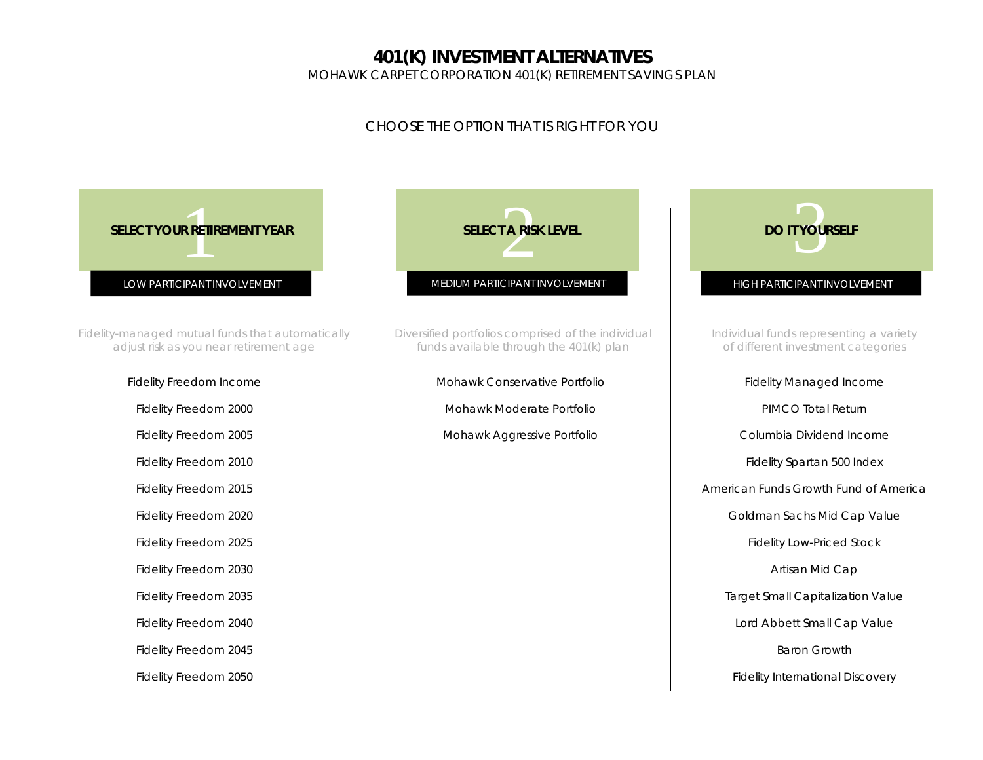## **401(K) INVESTMENT ALTERNATIVES**

MOHAWK CARPET CORPORATION 401(K) RETIREMENT SAVINGS PLAN

## *CHOOSE THE OPTION THAT IS RIGHT FOR YOU*

| <b>SELECT YOUR RETIREMENT YEAR</b><br>LOW PARTICIPANT INVOLVEMENT                          | <b>SELECT A RISK LEVEL</b><br>MEDIUM PARTICIPANT INVOLVEMENT                                  | <b>DO IT YOURSELF</b><br>HIGH PARTICIPANT INVOLVEMENT                         |  |  |  |  |
|--------------------------------------------------------------------------------------------|-----------------------------------------------------------------------------------------------|-------------------------------------------------------------------------------|--|--|--|--|
| Fidelity-managed mutual funds that automatically<br>adjust risk as you near retirement age | Diversified portfolios comprised of the individual<br>funds available through the 401(k) plan | Individual funds representing a variety<br>of different investment categories |  |  |  |  |
| Fidelity Freedom Income                                                                    | Mohawk Conservative Portfolio                                                                 | <b>Fidelity Managed Income</b>                                                |  |  |  |  |
| Fidelity Freedom 2000                                                                      | Mohawk Moderate Portfolio                                                                     | PIMCO Total Return                                                            |  |  |  |  |
| Fidelity Freedom 2005                                                                      | Mohawk Aggressive Portfolio                                                                   | Columbia Dividend Income                                                      |  |  |  |  |
| Fidelity Freedom 2010                                                                      |                                                                                               | Fidelity Spartan 500 Index                                                    |  |  |  |  |
| Fidelity Freedom 2015                                                                      |                                                                                               | American Funds Growth Fund of America                                         |  |  |  |  |
| Fidelity Freedom 2020                                                                      |                                                                                               | Goldman Sachs Mid Cap Value                                                   |  |  |  |  |
| Fidelity Freedom 2025                                                                      |                                                                                               | <b>Fidelity Low-Priced Stock</b>                                              |  |  |  |  |
| Fidelity Freedom 2030                                                                      |                                                                                               | Artisan Mid Cap                                                               |  |  |  |  |
| Fidelity Freedom 2035                                                                      |                                                                                               | <b>Target Small Capitalization Value</b>                                      |  |  |  |  |
| Fidelity Freedom 2040                                                                      |                                                                                               | Lord Abbett Small Cap Value                                                   |  |  |  |  |
| Fidelity Freedom 2045                                                                      |                                                                                               | <b>Baron Growth</b>                                                           |  |  |  |  |
| Fidelity Freedom 2050                                                                      |                                                                                               | <b>Fidelity International Discovery</b>                                       |  |  |  |  |